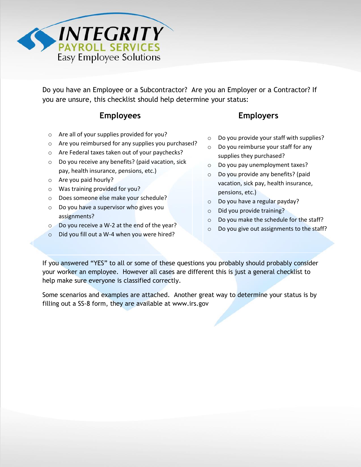

Do you have an Employee or a Subcontractor? Are you an Employer or a Contractor? If you are unsure, this checklist should help determine your status:

## **Employees Employers**

- o Are all of your supplies provided for you?
- o Are you reimbursed for any supplies you purchased?
- o Are Federal taxes taken out of your paychecks?
- o Do you receive any benefits? (paid vacation, sick pay, health insurance, pensions, etc.)
- o Are you paid hourly?
- o Was training provided for you?
- o Does someone else make your schedule?
- o Do you have a supervisor who gives you assignments?
- o Do you receive a W-2 at the end of the year?
- Did you fill out a W-4 when you were hired?

- o Do you provide your staff with supplies?
- o Do you reimburse your staff for any supplies they purchased?
- o Do you pay unemployment taxes?
- o Do you provide any benefits? (paid vacation, sick pay, health insurance, pensions, etc.)
- o Do you have a regular payday?
- o Did you provide training?
- o Do you make the schedule for the staff?
- o Do you give out assignments to the staff?

If you answered "YES" to all or some of these questions you probably should probably consider your worker an employee. However all cases are different this is just a general checklist to help make sure everyone is classified correctly.

Some scenarios and examples are attached. Another great way to determine your status is by filling out a SS-8 form, they are available at www.irs.gov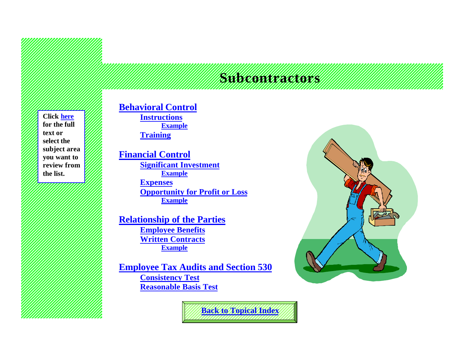# **Subcontractors**

**Click [here](#page-2-0) for the full text or select the subject area you want to review from the list.**

# **[Behavioral Control](#page-2-0)**

**[Instructions](#page-3-0) [Example](#page-3-0) [Training](#page-3-0)**

### **[Financial Control](#page-4-0)**

**[Significant Investment](#page-4-0) [Example](#page-4-0) [Expenses](#page-4-0) [Opportunity for Profit or Loss](#page-5-0) [Example](#page-5-0)**

**[Relationship of the Parties](#page-5-0) [Employee Benefits](#page-6-0) [Written Contracts](#page-6-0) [Example](#page-6-0)**

**[Employee Tax Audits and Section 530](#page-7-0) [Consistency Test](#page-7-0) [Reasonable Basis Test](#page-8-0)**



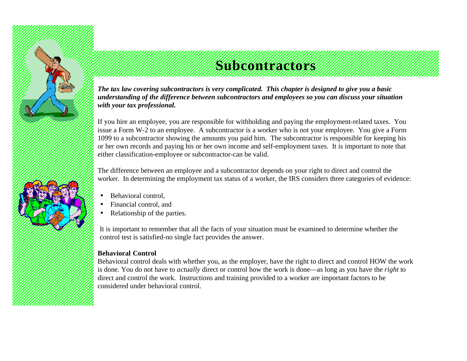<span id="page-2-0"></span>

# **Subcontractors**

*The tax law covering subcontractors is very complicated. This chapter is designed to give you a basic understanding of the difference between subcontractors and employees so you can discuss your situation with your tax professional.*

If you hire an employee, you are responsible for withholding and paying the employment-related taxes. You issue a Form W-2 to an employee. A subcontractor is a worker who is not your employee. You give a Form 1099 to a subcontractor showing the amounts you paid him. The subcontractor is responsible for keeping his or her own records and paying his or her own income and self-employment taxes. It is important to note that either classification-employee or subcontractor-can be valid.

The difference between an employee and a subcontractor depends on your right to direct and control the worker. In determining the employment tax status of a worker, the IRS considers three categories of evidence:

- Behavioral control.
- Financial control, and
- Relationship of the parties.

It is important to remember that all the facts of your situation must be examined to determine whether the control test is satisfied-no single fact provides the answer.

#### **Behavioral Control**

Behavioral control deals with whether you, as the employer, have the right to direct and control HOW the work is done. You do not have to *actually* direct or control how the work is done—as long as you have the *right* to direct and control the work. Instructions and training provided to a worker are important factors to be considered under behavioral control.

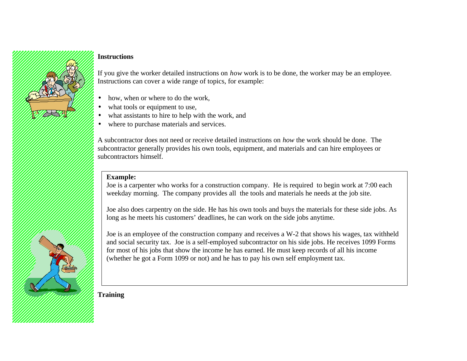#### <span id="page-3-0"></span>**Instructions**

If you give the worker detailed instructions on *how* work is to be done, the worker may be an employee. Instructions can cover a wide range of topics, for example:

- how, when or where to do the work.
- what tools or equipment to use,
- what assistants to hire to help with the work, and
- where to purchase materials and services.

A subcontractor does not need or receive detailed instructions on *how* the work should be done. The subcontractor generally provides his own tools, equipment, and materials and can hire employees or subcontractors himself.

#### **Example:**

Joe is a carpenter who works for a construction company. He is required to begin work at 7:00 each weekday morning. The company provides all the tools and materials he needs at the job site.

Joe also does carpentry on the side. He has his own tools and buys the materials for these side jobs. As long as he meets his customers' deadlines, he can work on the side jobs anytime.

Joe is an employee of the construction company and receives a W-2 that shows his wages, tax withheld and social security tax. Joe is a self-employed subcontractor on his side jobs. He receives 1099 Forms for most of his jobs that show the income he has earned. He must keep records of all his income (whether he got a Form 1099 or not) and he has to pay his own self employment tax.

**Training**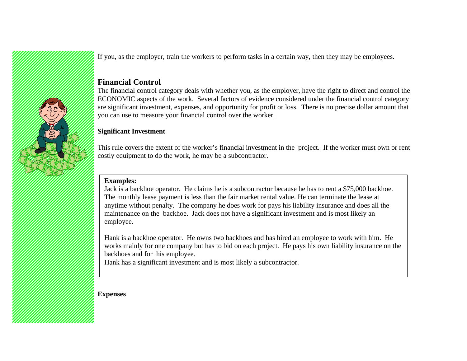<span id="page-4-0"></span>

If you, as the employer, train the workers to perform tasks in a certain way, then they may be employees.

#### **Financial Control**

The financial control category deals with whether you, as the employer, have the right to direct and control the ECONOMIC aspects of the work. Several factors of evidence considered under the financial control category are significant investment, expenses, and opportunity for profit or loss. There is no precise dollar amount that you can use to measure your financial control over the worker.

#### **Significant Investment**

This rule covers the extent of the worker's financial investment in the project. If the worker must own or rent costly equipment to do the work, he may be a subcontractor.

#### **Examples:**

Jack is a backhoe operator. He claims he is a subcontractor because he has to rent a \$75,000 backhoe. The monthly lease payment is less than the fair market rental value. He can terminate the lease at anytime without penalty. The company he does work for pays his liability insurance and does all the maintenance on the backhoe. Jack does not have a significant investment and is most likely an employee.

Hank is a backhoe operator. He owns two backhoes and has hired an employee to work with him. He works mainly for one company but has to bid on each project. He pays his own liability insurance on the backhoes and for his employee.

Hank has a significant investment and is most likely a subcontractor.

**Expenses**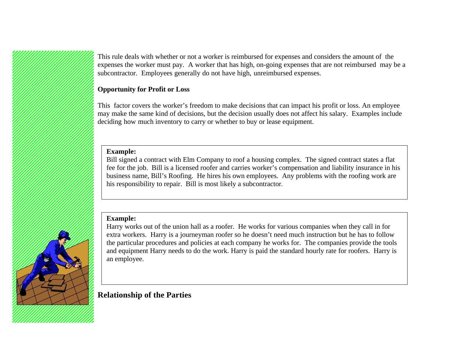<span id="page-5-0"></span>This rule deals with whether or not a worker is reimbursed for expenses and considers the amount of the expenses the worker must pay. A worker that has high, on-going expenses that are not reimbursed may be a subcontractor. Employees generally do not have high, unreimbursed expenses.

#### **Opportunity for Profit or Loss**

This factor covers the worker's freedom to make decisions that can impact his profit or loss. An employee may make the same kind of decisions, but the decision usually does not affect his salary. Examples include deciding how much inventory to carry or whether to buy or lease equipment.

#### **Example:**

Bill signed a contract with Elm Company to roof a housing complex. The signed contract states a flat fee for the job. Bill is a licensed roofer and carries worker's compensation and liability insurance in his business name, Bill's Roofing. He hires his own employees. Any problems with the roofing work are his responsibility to repair. Bill is most likely a subcontractor.

#### **Example:**

Harry works out of the union hall as a roofer. He works for various companies when they call in for extra workers. Harry is a journeyman roofer so he doesn't need much instruction but he has to follow the particular procedures and policies at each company he works for. The companies provide the tools and equipment Harry needs to do the work. Harry is paid the standard hourly rate for roofers. Harry is an employee.

**Relationship of the Parties**

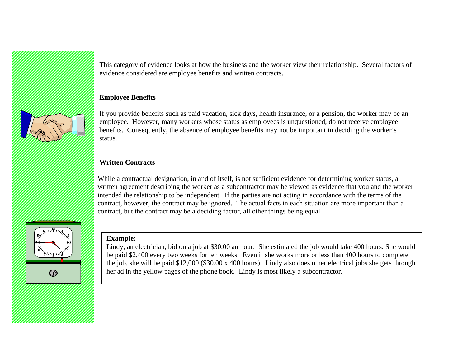<span id="page-6-0"></span>

This category of evidence looks at how the business and the worker view their relationship. Several factors of evidence considered are employee benefits and written contracts.

#### **Employee Benefits**

If you provide benefits such as paid vacation, sick days, health insurance, or a pension, the worker may be an employee. However, many workers whose status as employees is unquestioned, do not receive employee benefits. Consequently, the absence of employee benefits may not be important in deciding the worker's status.

#### **Written Contracts**

While a contractual designation, in and of itself, is not sufficient evidence for determining worker status, a written agreement describing the worker as a subcontractor may be viewed as evidence that you and the worker intended the relationship to be independent. If the parties are not acting in accordance with the terms of the contract, however, the contract may be ignored. The actual facts in each situation are more important than a contract, but the contract may be a deciding factor, all other things being equal.

#### **Example:**

Lindy, an electrician, bid on a job at \$30.00 an hour. She estimated the job would take 400 hours. She would be paid \$2,400 every two weeks for ten weeks. Even if she works more or less than 400 hours to complete the job, she will be paid \$12,000 (\$30.00 x 400 hours). Lindy also does other electrical jobs she gets through her ad in the yellow pages of the phone book. Lindy is most likely a subcontractor.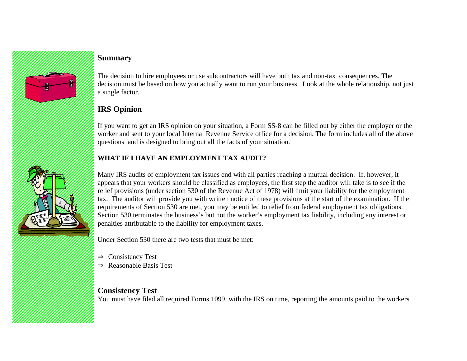<span id="page-7-0"></span>

# **Summary**

The decision to hire employees or use subcontractors will have both tax and non-tax consequences. The decision must be based on how you actually want to run your business. Look at the whole relationship, not just a single factor.

# **IRS Opinion**

If you want to get an IRS opinion on your situation, a Form SS-8 can be filled out by either the employer or the worker and sent to your local Internal Revenue Service office for a decision. The form includes all of the above questions and is designed to bring out all the facts of your situation.

### **WHAT IF I HAVE AN EMPLOYMENT TAX AUDIT?**

Many IRS audits of employment tax issues end with all parties reaching a mutual decision. If, however, it appears that your workers should be classified as employees, the first step the auditor will take is to see if the relief provisions (under section 530 of the Revenue Act of 1978) will limit your liability for the employment tax. The auditor will provide you with written notice of these provisions at the start of the examination. If the requirements of Section 530 are met, you may be entitled to relief from federal employment tax obligations. Section 530 terminates the business's but not the worker's employment tax liability, including any interest or penalties attributable to the liability for employment taxes.

Under Section 530 there are two tests that must be met:

- ⇒ Consistency Test
- ⇒ Reasonable Basis Test

**Consistency Test**

You must have filed all required Forms 1099 with the IRS on time, reporting the amounts paid to the workers